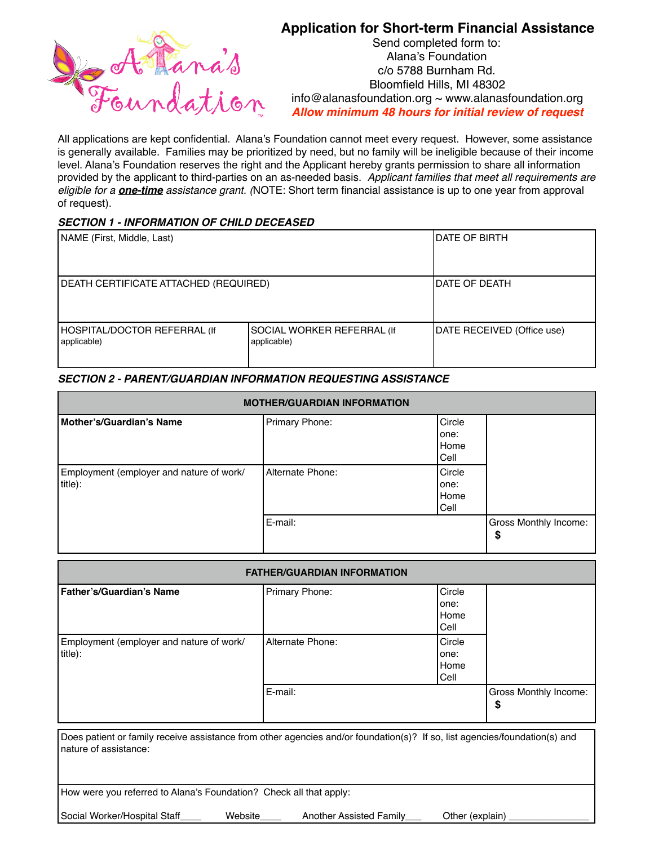

# **Application for Short-term Financial Assistance**

Send completed form to: Alana's Foundation c/o 5788 Burnham Rd. Bloomfield Hills, MI 48302  $info@$ alanasfoundation.org  $\sim$  [www.alanasfoundation.org](http://www.alanasfoundation.org) *Allow minimum 48 hours for initial review of request*

All applications are kept confidential. Alana's Foundation cannot meet every request. However, some assistance is generally available. Families may be prioritized by need, but no family will be ineligible because of their income level. Alana's Foundation reserves the right and the Applicant hereby grants permission to share all information provided by the applicant to third-parties on an as-needed basis. *Applicant families that meet all requirements are eligible for a one-time assistance grant. (*NOTE: Short term financial assistance is up to one year from approval of request).

## *SECTION 1 - INFORMATION OF CHILD DECEASED*

| NAME (First, Middle, Last)                  |                                           | IDATE OF BIRTH             |
|---------------------------------------------|-------------------------------------------|----------------------------|
| DEATH CERTIFICATE ATTACHED (REQUIRED)       |                                           | IDATE OF DEATH             |
| HOSPITAL/DOCTOR REFERRAL (If<br>applicable) | SOCIAL WORKER REFERRAL (If<br>applicable) | DATE RECEIVED (Office use) |

# *SECTION 2 - PARENT/GUARDIAN INFORMATION REQUESTING ASSISTANCE*

| <b>MOTHER/GUARDIAN INFORMATION</b>                  |                  |                                  |                                    |  |  |
|-----------------------------------------------------|------------------|----------------------------------|------------------------------------|--|--|
| Mother's/Guardian's Name                            | Primary Phone:   | Circle<br>lone:<br>Home<br> Cell |                                    |  |  |
| Employment (employer and nature of work/<br>title): | Alternate Phone: | Circle<br>lone:<br>Home<br> Cell |                                    |  |  |
|                                                     | E-mail:          |                                  | <b>Gross Monthly Income:</b><br>\$ |  |  |

| <b>FATHER/GUARDIAN INFORMATION</b>                                                                                                                  |                                |                                |                            |  |  |  |
|-----------------------------------------------------------------------------------------------------------------------------------------------------|--------------------------------|--------------------------------|----------------------------|--|--|--|
| Father's/Guardian's Name                                                                                                                            | Primary Phone:                 | Circle<br>one:<br>Home<br>Cell |                            |  |  |  |
| Employment (employer and nature of work/<br>title):                                                                                                 | Alternate Phone:               | Circle<br>one:<br>Home<br>Cell |                            |  |  |  |
|                                                                                                                                                     | E-mail:                        |                                | Gross Monthly Income:<br>S |  |  |  |
| Does patient or family receive assistance from other agencies and/or foundation(s)? If so, list agencies/foundation(s) and<br>nature of assistance: |                                |                                |                            |  |  |  |
| How were you referred to Alana's Foundation? Check all that apply:                                                                                  |                                |                                |                            |  |  |  |
| Social Worker/Hospital Staff<br>Website                                                                                                             | <b>Another Assisted Family</b> | Other (explain)                |                            |  |  |  |